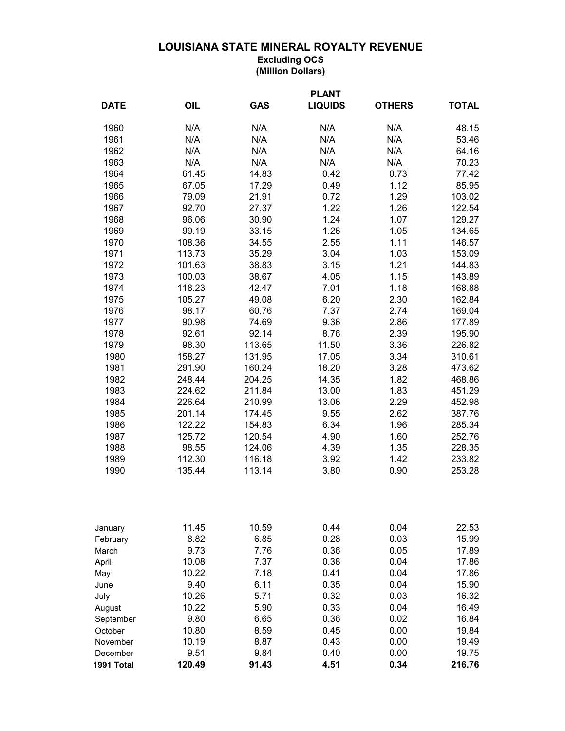## **LOUISIANA STATE MINERAL ROYALTY REVENUE**

**Excluding OCS (Million Dollars)**

|             | <b>PLANT</b> |            |                |               |              |  |  |
|-------------|--------------|------------|----------------|---------------|--------------|--|--|
| <b>DATE</b> | OIL          | <b>GAS</b> | <b>LIQUIDS</b> | <b>OTHERS</b> | <b>TOTAL</b> |  |  |
| 1960        | N/A          | N/A        | N/A            | N/A           | 48.15        |  |  |
| 1961        | N/A          | N/A        | N/A            | N/A           | 53.46        |  |  |
| 1962        | N/A          | N/A        | N/A            | N/A           | 64.16        |  |  |
| 1963        | N/A          | N/A        | N/A            | N/A           | 70.23        |  |  |
| 1964        | 61.45        | 14.83      | 0.42           | 0.73          | 77.42        |  |  |
| 1965        | 67.05        | 17.29      | 0.49           | 1.12          | 85.95        |  |  |
| 1966        | 79.09        | 21.91      | 0.72           | 1.29          | 103.02       |  |  |
| 1967        | 92.70        | 27.37      | 1.22           | 1.26          | 122.54       |  |  |
| 1968        | 96.06        | 30.90      | 1.24           | 1.07          | 129.27       |  |  |
| 1969        | 99.19        | 33.15      | 1.26           | 1.05          | 134.65       |  |  |
| 1970        | 108.36       | 34.55      | 2.55           | 1.11          | 146.57       |  |  |
| 1971        | 113.73       | 35.29      | 3.04           | 1.03          | 153.09       |  |  |
| 1972        | 101.63       | 38.83      | 3.15           | 1.21          | 144.83       |  |  |
| 1973        | 100.03       | 38.67      | 4.05           | 1.15          | 143.89       |  |  |
| 1974        | 118.23       | 42.47      | 7.01           | 1.18          | 168.88       |  |  |
| 1975        | 105.27       | 49.08      | 6.20           | 2.30          | 162.84       |  |  |
| 1976        | 98.17        | 60.76      | 7.37           | 2.74          | 169.04       |  |  |
| 1977        | 90.98        | 74.69      | 9.36           | 2.86          | 177.89       |  |  |
| 1978        | 92.61        | 92.14      | 8.76           | 2.39          | 195.90       |  |  |
| 1979        | 98.30        | 113.65     | 11.50          | 3.36          | 226.82       |  |  |
| 1980        | 158.27       | 131.95     | 17.05          | 3.34          | 310.61       |  |  |
| 1981        | 291.90       | 160.24     | 18.20          | 3.28          | 473.62       |  |  |
| 1982        | 248.44       | 204.25     | 14.35          | 1.82          | 468.86       |  |  |
| 1983        | 224.62       | 211.84     | 13.00          | 1.83          | 451.29       |  |  |
| 1984        | 226.64       | 210.99     | 13.06          | 2.29          | 452.98       |  |  |
| 1985        | 201.14       | 174.45     | 9.55           | 2.62          | 387.76       |  |  |
| 1986        | 122.22       | 154.83     | 6.34           | 1.96          | 285.34       |  |  |
| 1987        | 125.72       | 120.54     | 4.90           | 1.60          | 252.76       |  |  |
| 1988        | 98.55        | 124.06     | 4.39           | 1.35          | 228.35       |  |  |
| 1989        | 112.30       | 116.18     | 3.92           | 1.42          | 233.82       |  |  |
| 1990        | 135.44       | 113.14     | 3.80           | 0.90          | 253.28       |  |  |
| January     | 11.45        | 10.59      | 0.44           | 0.04          | 22.53        |  |  |
| February    | 8.82         | 6.85       | 0.28           | 0.03          | 15.99        |  |  |
| March       | 9.73         | 7.76       | 0.36           | 0.05          | 17.89        |  |  |
| April       | 10.08        | 7.37       | 0.38           | 0.04          | 17.86        |  |  |
| May         | 10.22        | 7.18       | 0.41           | 0.04          | 17.86        |  |  |
| June        | 9.40         | 6.11       | 0.35           | 0.04          | 15.90        |  |  |
| July        | 10.26        | 5.71       | 0.32           | 0.03          | 16.32        |  |  |
| August      | 10.22        | 5.90       | 0.33           | 0.04          | 16.49        |  |  |
| September   | 9.80         | 6.65       | 0.36           | 0.02          | 16.84        |  |  |
| October     | 10.80        | 8.59       | 0.45           | 0.00          | 19.84        |  |  |
| November    | 10.19        | 8.87       | 0.43           | 0.00          | 19.49        |  |  |
| December    | 9.51         | 9.84       | 0.40           | 0.00          | 19.75        |  |  |
| 1991 Total  | 120.49       | 91.43      | 4.51           | 0.34          | 216.76       |  |  |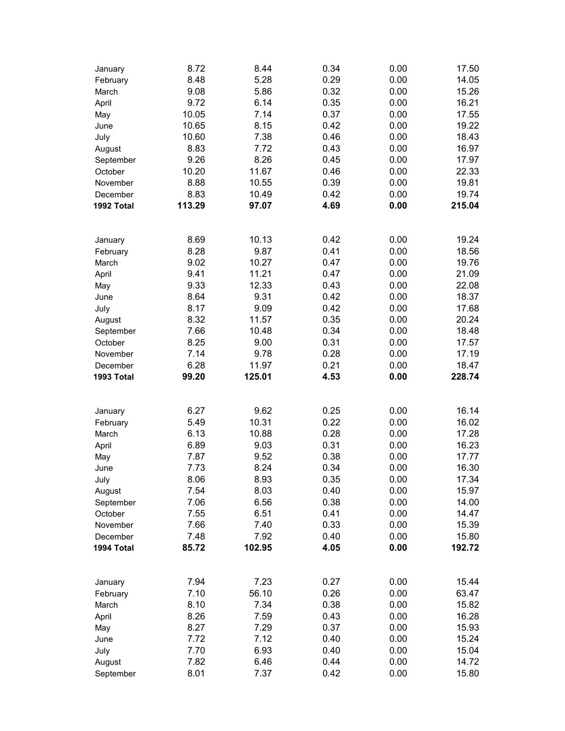| January                                                     | 8.72         | 8.44         | 0.34         | 0.00         | 17.50          |
|-------------------------------------------------------------|--------------|--------------|--------------|--------------|----------------|
| February                                                    | 8.48         | 5.28         | 0.29         | 0.00         | 14.05          |
| March                                                       | 9.08         | 5.86         | 0.32         | 0.00         | 15.26          |
| April                                                       | 9.72         | 6.14         | 0.35         | 0.00         | 16.21          |
| May                                                         | 10.05        | 7.14         | 0.37         | 0.00         | 17.55          |
| June                                                        | 10.65        | 8.15         | 0.42         | 0.00         | 19.22          |
| July                                                        | 10.60        | 7.38         | 0.46         | 0.00         | 18.43          |
| August                                                      | 8.83         | 7.72         | 0.43         | 0.00         | 16.97          |
| September                                                   | 9.26         | 8.26         | 0.45         | 0.00         | 17.97          |
| October                                                     | 10.20        | 11.67        | 0.46         | 0.00         | 22.33          |
| November                                                    | 8.88         | 10.55        | 0.39         | 0.00         | 19.81          |
| December                                                    | 8.83         | 10.49        | 0.42         | 0.00         | 19.74          |
| 1992 Total                                                  | 113.29       | 97.07        | 4.69         | 0.00         | 215.04         |
|                                                             |              |              |              |              |                |
| January                                                     | 8.69         | 10.13        | 0.42         | 0.00         | 19.24          |
| February<br>March<br>April<br>May<br>June<br>July<br>August | 8.28         | 9.87         | 0.41         | 0.00         | 18.56          |
|                                                             | 9.02         | 10.27        | 0.47         | 0.00         | 19.76          |
|                                                             | 9.41         | 11.21        | 0.47         | 0.00         | 21.09          |
|                                                             | 9.33         | 12.33        | 0.43         | 0.00         | 22.08          |
|                                                             | 8.64         | 9.31         | 0.42         | 0.00         | 18.37          |
|                                                             | 8.17         | 9.09         | 0.42         | 0.00         | 17.68          |
|                                                             | 8.32         | 11.57        | 0.35         | 0.00         | 20.24          |
| September                                                   | 7.66         | 10.48        | 0.34         | 0.00         | 18.48          |
| October                                                     | 8.25         | 9.00         | 0.31         | 0.00         | 17.57          |
| November                                                    | 7.14         | 9.78         | 0.28         | 0.00         | 17.19          |
| December                                                    | 6.28         | 11.97        | 0.21         | 0.00         | 18.47          |
| 1993 Total                                                  | 99.20        | 125.01       | 4.53         | 0.00         | 228.74         |
|                                                             |              |              |              |              |                |
|                                                             |              |              |              |              |                |
| January                                                     | 6.27         | 9.62         | 0.25         | 0.00         | 16.14          |
| February                                                    | 5.49         | 10.31        | 0.22         | 0.00         | 16.02          |
| March                                                       | 6.13         | 10.88        | 0.28         | 0.00         | 17.28          |
| April                                                       | 6.89         | 9.03         | 0.31         | 0.00         | 16.23          |
| May                                                         | 7.87         | 9.52         | 0.38         | 0.00         | 17.77          |
| June                                                        | 7.73         | 8.24         | 0.34         | 0.00         | 16.30          |
| July                                                        | 8.06         | 8.93         | 0.35         | 0.00         | 17.34          |
| August                                                      | 7.54         | 8.03         | 0.40         | 0.00         | 15.97          |
| September                                                   | 7.06         | 6.56         | 0.38         | 0.00         | 14.00          |
| October                                                     | 7.55         | 6.51         | 0.41         | 0.00         | 14.47          |
| November                                                    | 7.66         | 7.40         | 0.33         | 0.00         | 15.39          |
| December                                                    | 7.48         | 7.92         | 0.40         | 0.00         | 15.80          |
| 1994 Total                                                  | 85.72        | 102.95       | 4.05         | 0.00         | 192.72         |
|                                                             |              |              |              |              |                |
| January                                                     | 7.94         | 7.23         | 0.27         | 0.00         | 15.44          |
| February                                                    | 7.10         | 56.10        | 0.26         | 0.00         | 63.47          |
| March                                                       | 8.10         | 7.34         | 0.38         | 0.00         | 15.82          |
| April                                                       | 8.26         | 7.59         | 0.43         | 0.00         | 16.28          |
| May                                                         | 8.27         | 7.29         | 0.37         | 0.00         | 15.93          |
| June                                                        | 7.72         | 7.12         | 0.40         | 0.00         | 15.24          |
| July                                                        | 7.70         | 6.93         | 0.40         | 0.00         | 15.04          |
| August<br>September                                         | 7.82<br>8.01 | 6.46<br>7.37 | 0.44<br>0.42 | 0.00<br>0.00 | 14.72<br>15.80 |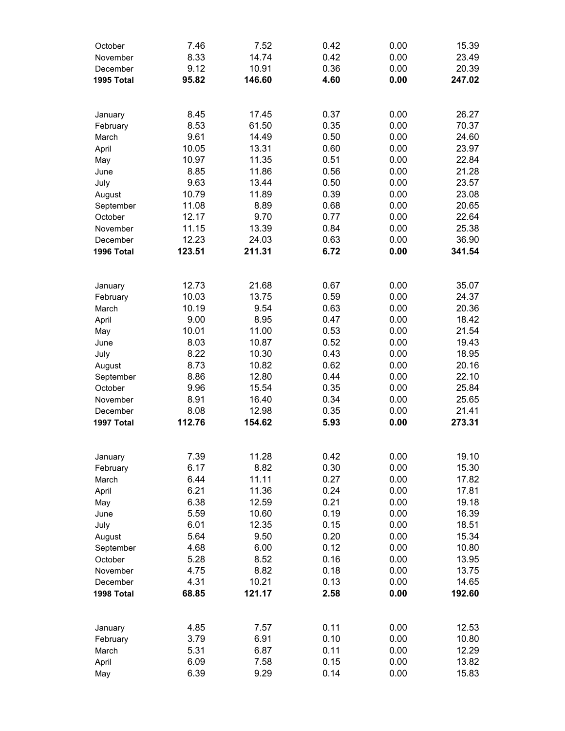| October    | 7.46   | 7.52   | 0.42 | 0.00 | 15.39  |
|------------|--------|--------|------|------|--------|
| November   | 8.33   | 14.74  | 0.42 | 0.00 | 23.49  |
| December   | 9.12   | 10.91  | 0.36 | 0.00 | 20.39  |
| 1995 Total | 95.82  | 146.60 | 4.60 | 0.00 | 247.02 |
|            |        |        |      |      |        |
| January    | 8.45   | 17.45  | 0.37 | 0.00 | 26.27  |
| February   | 8.53   | 61.50  | 0.35 | 0.00 | 70.37  |
| March      | 9.61   | 14.49  | 0.50 | 0.00 | 24.60  |
| April      | 10.05  | 13.31  | 0.60 | 0.00 | 23.97  |
| May        | 10.97  | 11.35  | 0.51 | 0.00 | 22.84  |
| June       | 8.85   | 11.86  | 0.56 | 0.00 | 21.28  |
| July       | 9.63   | 13.44  | 0.50 | 0.00 | 23.57  |
| August     | 10.79  | 11.89  | 0.39 | 0.00 | 23.08  |
| September  | 11.08  | 8.89   | 0.68 | 0.00 | 20.65  |
| October    | 12.17  | 9.70   | 0.77 | 0.00 | 22.64  |
| November   | 11.15  | 13.39  | 0.84 | 0.00 | 25.38  |
| December   | 12.23  | 24.03  | 0.63 | 0.00 | 36.90  |
| 1996 Total | 123.51 | 211.31 | 6.72 | 0.00 | 341.54 |
|            |        |        |      |      |        |
| January    | 12.73  | 21.68  | 0.67 | 0.00 | 35.07  |
| February   | 10.03  | 13.75  | 0.59 | 0.00 | 24.37  |
| March      | 10.19  | 9.54   | 0.63 | 0.00 | 20.36  |
| April      | 9.00   | 8.95   | 0.47 | 0.00 | 18.42  |
| May        | 10.01  | 11.00  | 0.53 | 0.00 | 21.54  |
| June       | 8.03   | 10.87  | 0.52 | 0.00 | 19.43  |
| July       | 8.22   | 10.30  | 0.43 | 0.00 | 18.95  |
| August     | 8.73   | 10.82  | 0.62 | 0.00 | 20.16  |
| September  | 8.86   | 12.80  | 0.44 | 0.00 | 22.10  |
| October    | 9.96   | 15.54  | 0.35 | 0.00 | 25.84  |
| November   | 8.91   | 16.40  | 0.34 | 0.00 | 25.65  |
| December   | 8.08   | 12.98  | 0.35 | 0.00 | 21.41  |
| 1997 Total | 112.76 | 154.62 | 5.93 | 0.00 | 273.31 |
|            |        |        |      |      |        |
| January    | 7.39   | 11.28  | 0.42 | 0.00 | 19.10  |
| February   | 6.17   | 8.82   | 0.30 | 0.00 | 15.30  |
| March      | 6.44   | 11.11  | 0.27 | 0.00 | 17.82  |
| April      | 6.21   | 11.36  | 0.24 | 0.00 | 17.81  |
| May        | 6.38   | 12.59  | 0.21 | 0.00 | 19.18  |
| June       | 5.59   | 10.60  | 0.19 | 0.00 | 16.39  |
| July       | 6.01   | 12.35  | 0.15 | 0.00 | 18.51  |
| August     | 5.64   | 9.50   | 0.20 | 0.00 | 15.34  |
| September  | 4.68   | 6.00   | 0.12 | 0.00 | 10.80  |
| October    | 5.28   | 8.52   | 0.16 | 0.00 | 13.95  |
| November   | 4.75   | 8.82   | 0.18 | 0.00 | 13.75  |
| December   | 4.31   | 10.21  | 0.13 | 0.00 | 14.65  |
| 1998 Total | 68.85  | 121.17 | 2.58 | 0.00 | 192.60 |
|            |        |        |      |      |        |
| January    | 4.85   | 7.57   | 0.11 | 0.00 | 12.53  |
| February   | 3.79   | 6.91   | 0.10 | 0.00 | 10.80  |
| March      | 5.31   | 6.87   | 0.11 | 0.00 | 12.29  |
| April      | 6.09   | 7.58   | 0.15 | 0.00 | 13.82  |
| May        | 6.39   | 9.29   | 0.14 | 0.00 | 15.83  |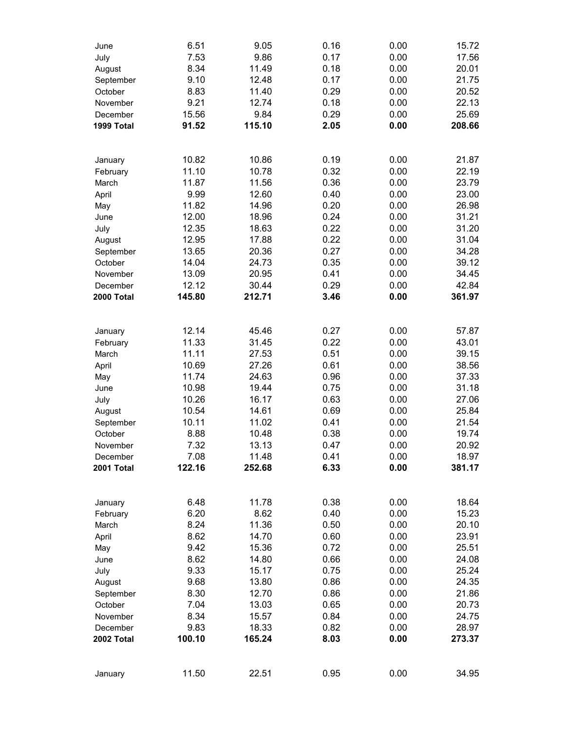| June                | 6.51           | 9.05           | 0.16         | 0.00         | 15.72          |
|---------------------|----------------|----------------|--------------|--------------|----------------|
| July                | 7.53           | 9.86           | 0.17         | 0.00         | 17.56          |
| August              | 8.34           | 11.49          | 0.18         | 0.00         | 20.01          |
| September           | 9.10           | 12.48          | 0.17         | 0.00         | 21.75          |
| October             | 8.83           | 11.40          | 0.29         | 0.00         | 20.52          |
| November            | 9.21           | 12.74          | 0.18         | 0.00         | 22.13          |
| December            | 15.56          | 9.84           | 0.29         | 0.00         | 25.69          |
| 1999 Total          | 91.52          | 115.10         | 2.05         | 0.00         | 208.66         |
| January             | 10.82          | 10.86          | 0.19         | 0.00         | 21.87          |
| February            | 11.10          | 10.78          | 0.32         | 0.00         | 22.19          |
| March               | 11.87          | 11.56          | 0.36         | 0.00         | 23.79          |
| April               | 9.99           | 12.60          | 0.40         | 0.00         | 23.00          |
| May                 | 11.82          | 14.96          | 0.20         | 0.00         | 26.98          |
| June                | 12.00          | 18.96          | 0.24         | 0.00         | 31.21          |
| July                | 12.35          | 18.63          | 0.22         | 0.00         | 31.20          |
| August              | 12.95          | 17.88          | 0.22         | 0.00         | 31.04          |
| September           | 13.65          | 20.36          | 0.27         | 0.00         | 34.28          |
| October             | 14.04          | 24.73          | 0.35         | 0.00         | 39.12          |
| November            | 13.09          | 20.95          | 0.41         | 0.00         | 34.45          |
| December            | 12.12          | 30.44          | 0.29         | 0.00         | 42.84          |
| 2000 Total          | 145.80         | 212.71         | 3.46         | 0.00         | 361.97         |
|                     |                |                |              |              |                |
| January             | 12.14<br>11.33 | 45.46<br>31.45 | 0.27<br>0.22 | 0.00<br>0.00 | 57.87<br>43.01 |
| February<br>March   | 11.11          | 27.53          | 0.51         | 0.00         | 39.15          |
| April               | 10.69          | 27.26          | 0.61         | 0.00         | 38.56          |
| May                 | 11.74          | 24.63          | 0.96         | 0.00         | 37.33          |
| June                | 10.98          | 19.44          | 0.75         | 0.00         | 31.18          |
| July                | 10.26          | 16.17          | 0.63         | 0.00         | 27.06          |
| August              | 10.54          | 14.61          | 0.69         | 0.00         | 25.84          |
| September           | 10.11          | 11.02          | 0.41         | 0.00         | 21.54          |
| October             | 8.88           | 10.48          | 0.38         | 0.00         | 19.74          |
| November            | 7.32           | 13.13          | 0.47         | 0.00         | 20.92          |
| December            | 7.08           | 11.48          | 0.41         | 0.00         | 18.97          |
| 2001 Total          | 122.16         | 252.68         | 6.33         | 0.00         | 381.17         |
|                     | 6.48           | 11.78          | 0.38         | 0.00         | 18.64          |
| January<br>February | 6.20           | 8.62           | 0.40         | 0.00         | 15.23          |
| March               | 8.24           | 11.36          | 0.50         | 0.00         | 20.10          |
| April               | 8.62           | 14.70          | 0.60         | 0.00         | 23.91          |
| May                 | 9.42           | 15.36          | 0.72         | 0.00         | 25.51          |
| June                | 8.62           | 14.80          | 0.66         | 0.00         | 24.08          |
| July                | 9.33           | 15.17          | 0.75         | 0.00         | 25.24          |
| August              | 9.68           | 13.80          | 0.86         | 0.00         | 24.35          |
| September           | 8.30           | 12.70          | 0.86         | 0.00         | 21.86          |
| October             | 7.04           | 13.03          | 0.65         | 0.00         | 20.73          |
| November            | 8.34           | 15.57          | 0.84         | 0.00         | 24.75          |
| December            | 9.83           | 18.33          | 0.82         | 0.00         | 28.97          |
| 2002 Total          | 100.10         | 165.24         | 8.03         | 0.00         | 273.37         |
|                     | 11.50          |                | 0.95         | 0.00         |                |
| January             |                | 22.51          |              |              | 34.95          |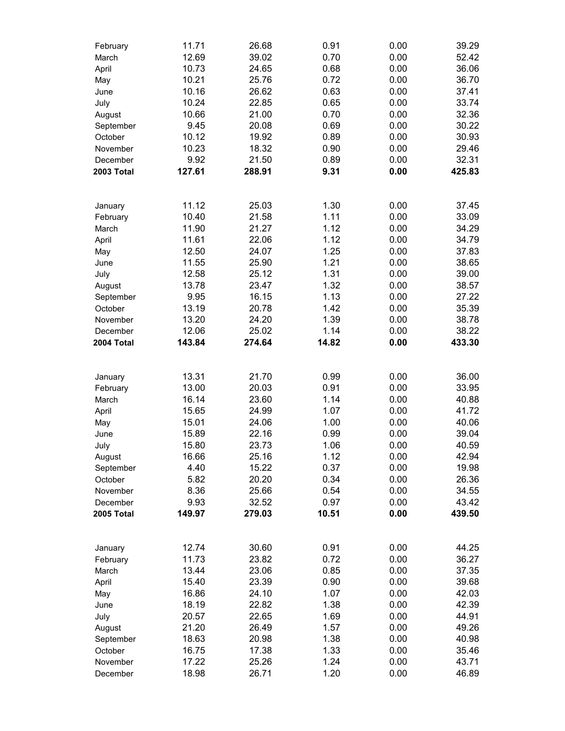| February   | 11.71  | 26.68  | 0.91  | 0.00 | 39.29  |
|------------|--------|--------|-------|------|--------|
| March      | 12.69  | 39.02  | 0.70  | 0.00 | 52.42  |
| April      | 10.73  | 24.65  | 0.68  | 0.00 | 36.06  |
| May        | 10.21  | 25.76  | 0.72  | 0.00 | 36.70  |
| June       | 10.16  | 26.62  | 0.63  | 0.00 | 37.41  |
| July       | 10.24  | 22.85  | 0.65  | 0.00 | 33.74  |
| August     | 10.66  | 21.00  | 0.70  | 0.00 | 32.36  |
| September  | 9.45   | 20.08  | 0.69  | 0.00 | 30.22  |
| October    | 10.12  | 19.92  | 0.89  | 0.00 | 30.93  |
| November   | 10.23  | 18.32  | 0.90  | 0.00 | 29.46  |
| December   | 9.92   | 21.50  | 0.89  | 0.00 | 32.31  |
| 2003 Total | 127.61 | 288.91 | 9.31  | 0.00 | 425.83 |
|            |        |        |       |      |        |
|            | 11.12  | 25.03  | 1.30  | 0.00 | 37.45  |
| January    | 10.40  | 21.58  | 1.11  |      |        |
| February   |        |        |       | 0.00 | 33.09  |
| March      | 11.90  | 21.27  | 1.12  | 0.00 | 34.29  |
| April      | 11.61  | 22.06  | 1.12  | 0.00 | 34.79  |
| May        | 12.50  | 24.07  | 1.25  | 0.00 | 37.83  |
| June       | 11.55  | 25.90  | 1.21  | 0.00 | 38.65  |
| July       | 12.58  | 25.12  | 1.31  | 0.00 | 39.00  |
| August     | 13.78  | 23.47  | 1.32  | 0.00 | 38.57  |
| September  | 9.95   | 16.15  | 1.13  | 0.00 | 27.22  |
| October    | 13.19  | 20.78  | 1.42  | 0.00 | 35.39  |
| November   | 13.20  | 24.20  | 1.39  | 0.00 | 38.78  |
| December   | 12.06  | 25.02  | 1.14  | 0.00 | 38.22  |
| 2004 Total | 143.84 | 274.64 | 14.82 | 0.00 | 433.30 |
|            |        |        |       |      |        |
| January    | 13.31  | 21.70  | 0.99  | 0.00 | 36.00  |
| February   | 13.00  | 20.03  | 0.91  | 0.00 | 33.95  |
| March      | 16.14  | 23.60  | 1.14  | 0.00 | 40.88  |
| April      | 15.65  | 24.99  | 1.07  | 0.00 | 41.72  |
| May        | 15.01  | 24.06  | 1.00  | 0.00 | 40.06  |
| June       | 15.89  | 22.16  | 0.99  | 0.00 | 39.04  |
| July       | 15.80  | 23.73  | 1.06  | 0.00 | 40.59  |
| August     | 16.66  | 25.16  | 1.12  | 0.00 | 42.94  |
| September  | 4.40   | 15.22  | 0.37  | 0.00 | 19.98  |
| October    | 5.82   | 20.20  | 0.34  | 0.00 | 26.36  |
| November   | 8.36   | 25.66  | 0.54  | 0.00 | 34.55  |
| December   | 9.93   | 32.52  | 0.97  | 0.00 | 43.42  |
| 2005 Total | 149.97 | 279.03 | 10.51 | 0.00 | 439.50 |
|            |        |        |       |      |        |
| January    | 12.74  | 30.60  | 0.91  | 0.00 | 44.25  |
| February   | 11.73  | 23.82  | 0.72  | 0.00 | 36.27  |
| March      | 13.44  | 23.06  | 0.85  | 0.00 | 37.35  |
| April      | 15.40  | 23.39  | 0.90  | 0.00 | 39.68  |
| May        | 16.86  | 24.10  | 1.07  | 0.00 | 42.03  |
| June       | 18.19  | 22.82  | 1.38  | 0.00 | 42.39  |
| July       | 20.57  | 22.65  | 1.69  | 0.00 | 44.91  |
| August     | 21.20  | 26.49  | 1.57  | 0.00 | 49.26  |
| September  | 18.63  | 20.98  | 1.38  | 0.00 | 40.98  |
| October    | 16.75  | 17.38  | 1.33  | 0.00 | 35.46  |
| November   | 17.22  | 25.26  | 1.24  | 0.00 | 43.71  |
| December   | 18.98  | 26.71  | 1.20  | 0.00 | 46.89  |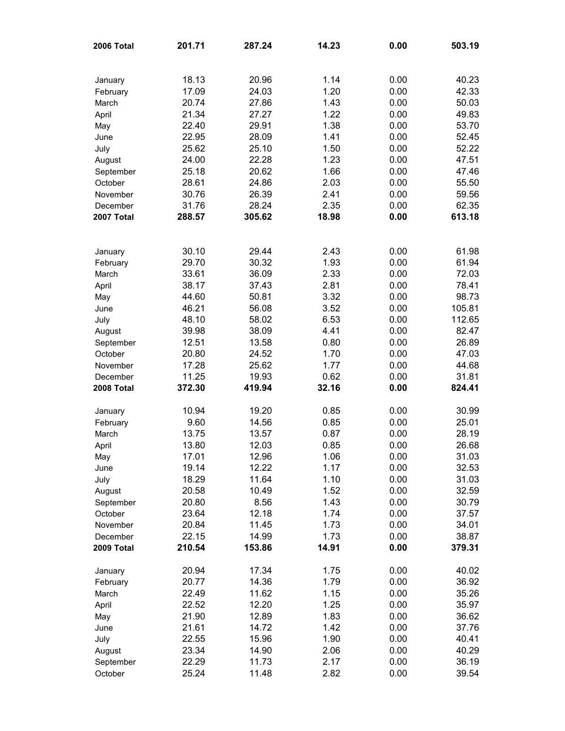| 2006 Total | 201.71 | 287.24 | 14.23 | 0.00 | 503.19 |
|------------|--------|--------|-------|------|--------|
|            |        |        |       |      |        |
| January    | 18.13  | 20.96  | 1.14  | 0.00 | 40.23  |
| February   | 17.09  | 24.03  | 1.20  | 0.00 | 42.33  |
| March      | 20.74  | 27.86  | 1.43  | 0.00 | 50.03  |
| April      | 21.34  | 27.27  | 1.22  | 0.00 | 49.83  |
| May        | 22.40  | 29.91  | 1.38  | 0.00 | 53.70  |
| June       | 22.95  | 28.09  | 1.41  | 0.00 | 52.45  |
| July       | 25.62  | 25.10  | 1.50  | 0.00 | 52.22  |
| August     | 24.00  | 22.28  | 1.23  | 0.00 | 47.51  |
| September  | 25.18  | 20.62  | 1.66  | 0.00 | 47.46  |
| October    | 28.61  | 24.86  | 2.03  | 0.00 | 55.50  |
| November   | 30.76  | 26.39  | 2.41  | 0.00 | 59.56  |
| December   | 31.76  | 28.24  | 2.35  | 0.00 | 62.35  |
| 2007 Total | 288.57 | 305.62 | 18.98 | 0.00 | 613.18 |
|            |        |        |       |      |        |
| January    | 30.10  | 29.44  | 2.43  | 0.00 | 61.98  |
| February   | 29.70  | 30.32  | 1.93  | 0.00 | 61.94  |
| March      | 33.61  | 36.09  | 2.33  | 0.00 | 72.03  |
| April      | 38.17  | 37.43  | 2.81  | 0.00 | 78.41  |
| May        | 44.60  | 50.81  | 3.32  | 0.00 | 98.73  |
| June       | 46.21  | 56.08  | 3.52  | 0.00 | 105.81 |
| July       | 48.10  | 58.02  | 6.53  | 0.00 | 112.65 |
| August     | 39.98  | 38.09  | 4.41  | 0.00 | 82.47  |
| September  | 12.51  | 13.58  | 0.80  | 0.00 | 26.89  |
| October    | 20.80  | 24.52  | 1.70  | 0.00 | 47.03  |
| November   | 17.28  | 25.62  | 1.77  | 0.00 | 44.68  |
| December   | 11.25  | 19.93  | 0.62  | 0.00 | 31.81  |
| 2008 Total | 372.30 | 419.94 | 32.16 | 0.00 | 824.41 |
| January    | 10.94  | 19.20  | 0.85  | 0.00 | 30.99  |
| February   | 9.60   | 14.56  | 0.85  | 0.00 | 25.01  |
| March      | 13.75  | 13.57  | 0.87  | 0.00 | 28.19  |
| April      | 13.80  | 12.03  | 0.85  | 0.00 | 26.68  |
| May        | 17.01  | 12.96  | 1.06  | 0.00 | 31.03  |
| June       | 19.14  | 12.22  | 1.17  | 0.00 | 32.53  |
| July       | 18.29  | 11.64  | 1.10  | 0.00 | 31.03  |
| August     | 20.58  | 10.49  | 1.52  | 0.00 | 32.59  |
| September  | 20.80  | 8.56   | 1.43  | 0.00 | 30.79  |
| October    | 23.64  | 12.18  | 1.74  | 0.00 | 37.57  |
| November   | 20.84  | 11.45  | 1.73  | 0.00 | 34.01  |
| December   | 22.15  | 14.99  | 1.73  | 0.00 | 38.87  |
| 2009 Total | 210.54 | 153.86 | 14.91 | 0.00 | 379.31 |
| January    | 20.94  | 17.34  | 1.75  | 0.00 | 40.02  |
| February   | 20.77  | 14.36  | 1.79  | 0.00 | 36.92  |
| March      | 22.49  | 11.62  | 1.15  | 0.00 | 35.26  |
| April      | 22.52  | 12.20  | 1.25  | 0.00 | 35.97  |
| May        | 21.90  | 12.89  | 1.83  | 0.00 | 36.62  |
| June       | 21.61  | 14.72  | 1.42  | 0.00 | 37.76  |
| July       | 22.55  | 15.96  | 1.90  | 0.00 | 40.41  |
| August     | 23.34  | 14.90  | 2.06  | 0.00 | 40.29  |
| September  | 22.29  | 11.73  | 2.17  | 0.00 | 36.19  |
| October    | 25.24  | 11.48  | 2.82  | 0.00 | 39.54  |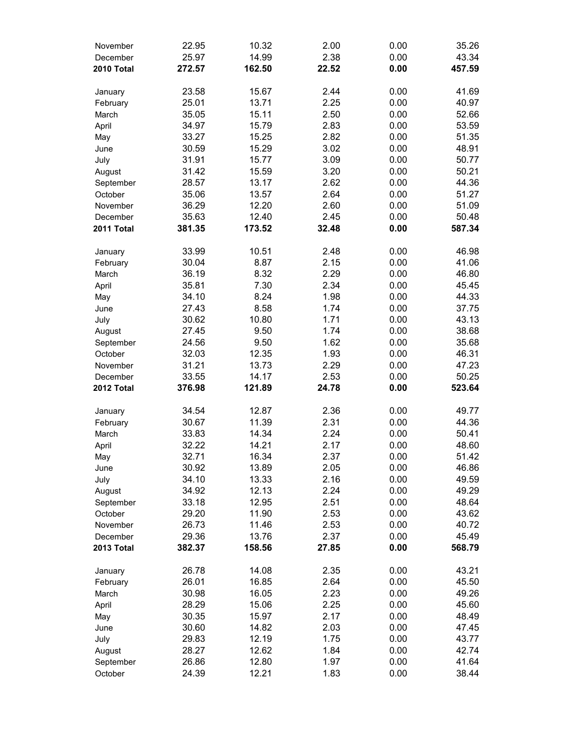| November   | 22.95  | 10.32  | 2.00  | 0.00 | 35.26  |
|------------|--------|--------|-------|------|--------|
| December   | 25.97  | 14.99  | 2.38  | 0.00 | 43.34  |
| 2010 Total | 272.57 | 162.50 | 22.52 | 0.00 | 457.59 |
|            |        |        |       |      |        |
| January    | 23.58  | 15.67  | 2.44  | 0.00 | 41.69  |
| February   | 25.01  | 13.71  | 2.25  | 0.00 | 40.97  |
| March      | 35.05  | 15.11  | 2.50  | 0.00 | 52.66  |
| April      | 34.97  | 15.79  | 2.83  | 0.00 | 53.59  |
| May        | 33.27  | 15.25  | 2.82  | 0.00 | 51.35  |
| June       | 30.59  | 15.29  | 3.02  | 0.00 | 48.91  |
| July       | 31.91  | 15.77  | 3.09  | 0.00 | 50.77  |
| August     | 31.42  | 15.59  | 3.20  | 0.00 | 50.21  |
| September  | 28.57  | 13.17  | 2.62  | 0.00 | 44.36  |
| October    | 35.06  | 13.57  | 2.64  | 0.00 | 51.27  |
| November   | 36.29  | 12.20  | 2.60  | 0.00 | 51.09  |
| December   | 35.63  | 12.40  | 2.45  | 0.00 | 50.48  |
| 2011 Total | 381.35 | 173.52 | 32.48 | 0.00 | 587.34 |
|            |        |        |       |      |        |
| January    | 33.99  | 10.51  | 2.48  | 0.00 | 46.98  |
| February   | 30.04  | 8.87   | 2.15  | 0.00 | 41.06  |
| March      | 36.19  | 8.32   | 2.29  | 0.00 | 46.80  |
| April      | 35.81  | 7.30   | 2.34  | 0.00 | 45.45  |
| May        | 34.10  | 8.24   | 1.98  | 0.00 | 44.33  |
| June       | 27.43  | 8.58   | 1.74  | 0.00 | 37.75  |
| July       | 30.62  | 10.80  | 1.71  | 0.00 | 43.13  |
| August     | 27.45  | 9.50   | 1.74  | 0.00 | 38.68  |
| September  | 24.56  | 9.50   | 1.62  | 0.00 | 35.68  |
| October    | 32.03  | 12.35  | 1.93  | 0.00 | 46.31  |
| November   | 31.21  | 13.73  | 2.29  | 0.00 | 47.23  |
| December   | 33.55  | 14.17  | 2.53  | 0.00 | 50.25  |
| 2012 Total | 376.98 | 121.89 | 24.78 | 0.00 | 523.64 |
|            |        |        |       |      |        |
| January    | 34.54  | 12.87  | 2.36  | 0.00 | 49.77  |
| February   | 30.67  | 11.39  | 2.31  | 0.00 | 44.36  |
| March      | 33.83  | 14.34  | 2.24  | 0.00 | 50.41  |
| April      | 32.22  | 14.21  | 2.17  | 0.00 | 48.60  |
| May        | 32.71  | 16.34  | 2.37  | 0.00 | 51.42  |
| June       | 30.92  | 13.89  | 2.05  | 0.00 | 46.86  |
| July       | 34.10  | 13.33  | 2.16  | 0.00 | 49.59  |
| August     | 34.92  | 12.13  | 2.24  | 0.00 | 49.29  |
| September  | 33.18  | 12.95  | 2.51  | 0.00 | 48.64  |
| October    | 29.20  | 11.90  | 2.53  | 0.00 | 43.62  |
| November   | 26.73  | 11.46  | 2.53  | 0.00 | 40.72  |
| December   | 29.36  | 13.76  | 2.37  | 0.00 | 45.49  |
| 2013 Total | 382.37 | 158.56 | 27.85 | 0.00 | 568.79 |
|            |        |        |       |      |        |
| January    | 26.78  | 14.08  | 2.35  | 0.00 | 43.21  |
| February   | 26.01  | 16.85  | 2.64  | 0.00 | 45.50  |
| March      | 30.98  | 16.05  | 2.23  | 0.00 | 49.26  |
| April      | 28.29  | 15.06  | 2.25  | 0.00 | 45.60  |
| May        | 30.35  | 15.97  | 2.17  | 0.00 | 48.49  |
| June       | 30.60  | 14.82  | 2.03  | 0.00 | 47.45  |
| July       | 29.83  | 12.19  | 1.75  | 0.00 | 43.77  |
| August     | 28.27  | 12.62  | 1.84  | 0.00 | 42.74  |
| September  | 26.86  | 12.80  | 1.97  | 0.00 | 41.64  |
| October    | 24.39  | 12.21  | 1.83  | 0.00 | 38.44  |
|            |        |        |       |      |        |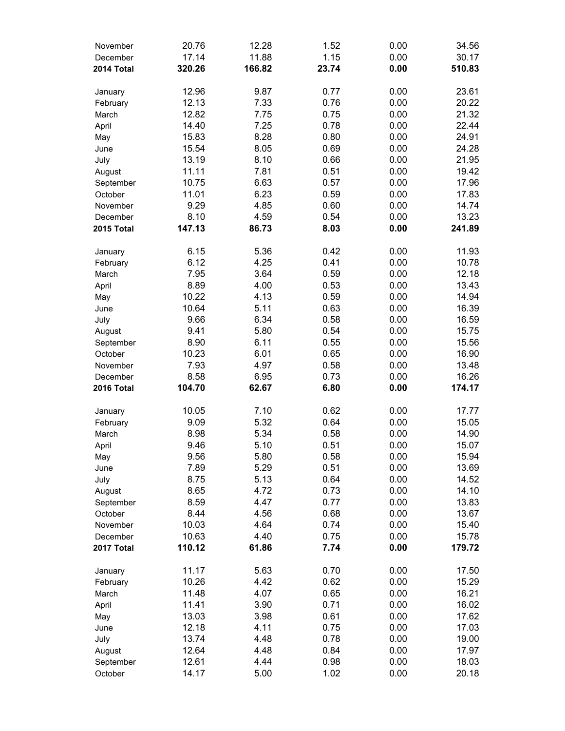| November   | 20.76  | 12.28  | 1.52  | 0.00 | 34.56  |
|------------|--------|--------|-------|------|--------|
| December   | 17.14  | 11.88  | 1.15  | 0.00 | 30.17  |
| 2014 Total | 320.26 | 166.82 | 23.74 | 0.00 | 510.83 |
|            |        |        |       |      |        |
| January    | 12.96  | 9.87   | 0.77  | 0.00 | 23.61  |
| February   | 12.13  | 7.33   | 0.76  | 0.00 | 20.22  |
| March      | 12.82  | 7.75   | 0.75  | 0.00 | 21.32  |
| April      | 14.40  | 7.25   | 0.78  | 0.00 | 22.44  |
| May        | 15.83  | 8.28   | 0.80  | 0.00 | 24.91  |
| June       | 15.54  | 8.05   | 0.69  | 0.00 | 24.28  |
| July       | 13.19  | 8.10   | 0.66  | 0.00 | 21.95  |
| August     | 11.11  | 7.81   | 0.51  | 0.00 | 19.42  |
| September  | 10.75  | 6.63   | 0.57  | 0.00 | 17.96  |
| October    | 11.01  | 6.23   | 0.59  | 0.00 | 17.83  |
| November   | 9.29   | 4.85   | 0.60  | 0.00 | 14.74  |
| December   | 8.10   | 4.59   | 0.54  | 0.00 | 13.23  |
| 2015 Total | 147.13 | 86.73  | 8.03  | 0.00 | 241.89 |
|            |        |        |       |      |        |
| January    | 6.15   | 5.36   | 0.42  | 0.00 | 11.93  |
| February   | 6.12   | 4.25   | 0.41  | 0.00 | 10.78  |
| March      | 7.95   | 3.64   | 0.59  | 0.00 | 12.18  |
| April      | 8.89   | 4.00   | 0.53  | 0.00 | 13.43  |
| May        | 10.22  | 4.13   | 0.59  | 0.00 | 14.94  |
| June       | 10.64  | 5.11   | 0.63  | 0.00 | 16.39  |
| July       | 9.66   | 6.34   | 0.58  | 0.00 | 16.59  |
| August     | 9.41   | 5.80   | 0.54  | 0.00 | 15.75  |
| September  | 8.90   | 6.11   | 0.55  | 0.00 | 15.56  |
| October    | 10.23  | 6.01   | 0.65  | 0.00 | 16.90  |
| November   | 7.93   | 4.97   | 0.58  | 0.00 | 13.48  |
| December   | 8.58   | 6.95   | 0.73  | 0.00 | 16.26  |
| 2016 Total | 104.70 | 62.67  | 6.80  | 0.00 | 174.17 |
|            |        |        |       |      |        |
| January    | 10.05  | 7.10   | 0.62  | 0.00 | 17.77  |
| February   | 9.09   | 5.32   | 0.64  | 0.00 | 15.05  |
| March      | 8.98   | 5.34   | 0.58  | 0.00 | 14.90  |
| April      | 9.46   | 5.10   | 0.51  | 0.00 | 15.07  |
| May        | 9.56   | 5.80   | 0.58  | 0.00 | 15.94  |
| June       | 7.89   | 5.29   | 0.51  | 0.00 | 13.69  |
| July       | 8.75   | 5.13   | 0.64  | 0.00 | 14.52  |
| August     | 8.65   | 4.72   | 0.73  | 0.00 | 14.10  |
| September  | 8.59   | 4.47   | 0.77  | 0.00 | 13.83  |
| October    | 8.44   | 4.56   | 0.68  | 0.00 | 13.67  |
| November   | 10.03  | 4.64   | 0.74  | 0.00 | 15.40  |
| December   | 10.63  | 4.40   | 0.75  | 0.00 | 15.78  |
| 2017 Total | 110.12 | 61.86  | 7.74  | 0.00 | 179.72 |
|            |        |        |       |      |        |
| January    | 11.17  | 5.63   | 0.70  | 0.00 | 17.50  |
| February   | 10.26  | 4.42   | 0.62  | 0.00 | 15.29  |
| March      | 11.48  | 4.07   | 0.65  | 0.00 | 16.21  |
| April      | 11.41  | 3.90   | 0.71  | 0.00 | 16.02  |
| May        | 13.03  | 3.98   | 0.61  | 0.00 | 17.62  |
| June       | 12.18  | 4.11   | 0.75  | 0.00 | 17.03  |
| July       | 13.74  | 4.48   | 0.78  | 0.00 | 19.00  |
| August     | 12.64  | 4.48   | 0.84  | 0.00 | 17.97  |
| September  | 12.61  | 4.44   | 0.98  | 0.00 | 18.03  |
| October    | 14.17  | 5.00   | 1.02  | 0.00 | 20.18  |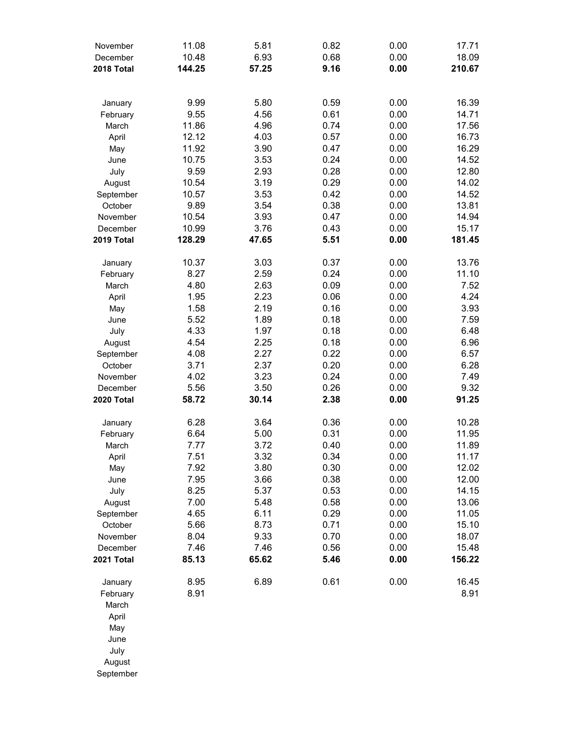| November   | 11.08  | 5.81  | 0.82 | 0.00 | 17.71  |
|------------|--------|-------|------|------|--------|
| December   | 10.48  | 6.93  | 0.68 | 0.00 | 18.09  |
| 2018 Total | 144.25 | 57.25 | 9.16 | 0.00 | 210.67 |
|            |        |       |      |      |        |
| January    | 9.99   | 5.80  | 0.59 | 0.00 | 16.39  |
| February   | 9.55   | 4.56  | 0.61 | 0.00 | 14.71  |
| March      | 11.86  | 4.96  | 0.74 | 0.00 | 17.56  |
| April      | 12.12  | 4.03  | 0.57 | 0.00 | 16.73  |
| May        | 11.92  | 3.90  | 0.47 | 0.00 | 16.29  |
| June       | 10.75  | 3.53  | 0.24 | 0.00 | 14.52  |
| July       | 9.59   | 2.93  | 0.28 | 0.00 | 12.80  |
| August     | 10.54  | 3.19  | 0.29 | 0.00 | 14.02  |
| September  | 10.57  | 3.53  | 0.42 | 0.00 | 14.52  |
| October    | 9.89   | 3.54  | 0.38 | 0.00 | 13.81  |
| November   | 10.54  | 3.93  | 0.47 | 0.00 | 14.94  |
| December   | 10.99  | 3.76  | 0.43 | 0.00 | 15.17  |
| 2019 Total | 128.29 | 47.65 | 5.51 | 0.00 | 181.45 |
|            |        |       |      |      |        |
| January    | 10.37  | 3.03  | 0.37 | 0.00 | 13.76  |
| February   | 8.27   | 2.59  | 0.24 | 0.00 | 11.10  |
| March      | 4.80   | 2.63  | 0.09 | 0.00 | 7.52   |
| April      | 1.95   | 2.23  | 0.06 | 0.00 | 4.24   |
| May        | 1.58   | 2.19  | 0.16 | 0.00 | 3.93   |
| June       | 5.52   | 1.89  | 0.18 | 0.00 | 7.59   |
| July       | 4.33   | 1.97  | 0.18 | 0.00 | 6.48   |
| August     | 4.54   | 2.25  | 0.18 | 0.00 | 6.96   |
| September  | 4.08   | 2.27  | 0.22 | 0.00 | 6.57   |
| October    | 3.71   | 2.37  | 0.20 | 0.00 | 6.28   |
| November   | 4.02   | 3.23  | 0.24 | 0.00 | 7.49   |
| December   | 5.56   | 3.50  | 0.26 | 0.00 | 9.32   |
| 2020 Total | 58.72  | 30.14 | 2.38 | 0.00 | 91.25  |
| January    | 6.28   | 3.64  | 0.36 | 0.00 | 10.28  |
| February   | 6.64   | 5.00  | 0.31 | 0.00 | 11.95  |
| March      | 7.77   | 3.72  | 0.40 | 0.00 | 11.89  |
| April      | 7.51   | 3.32  | 0.34 | 0.00 | 11.17  |
| May        | 7.92   | 3.80  | 0.30 | 0.00 | 12.02  |
| June       | 7.95   | 3.66  | 0.38 | 0.00 | 12.00  |
| July       | 8.25   | 5.37  | 0.53 | 0.00 | 14.15  |
| August     | 7.00   | 5.48  | 0.58 | 0.00 | 13.06  |
| September  | 4.65   | 6.11  | 0.29 | 0.00 | 11.05  |
| October    | 5.66   | 8.73  | 0.71 | 0.00 | 15.10  |
| November   | 8.04   | 9.33  | 0.70 | 0.00 | 18.07  |
| December   | 7.46   | 7.46  | 0.56 | 0.00 | 15.48  |
| 2021 Total | 85.13  | 65.62 | 5.46 | 0.00 | 156.22 |
|            |        |       |      |      |        |
| January    | 8.95   | 6.89  | 0.61 | 0.00 | 16.45  |
| February   | 8.91   |       |      |      | 8.91   |
| March      |        |       |      |      |        |
| April      |        |       |      |      |        |
| May        |        |       |      |      |        |
| June       |        |       |      |      |        |
| July       |        |       |      |      |        |
| August     |        |       |      |      |        |
| September  |        |       |      |      |        |